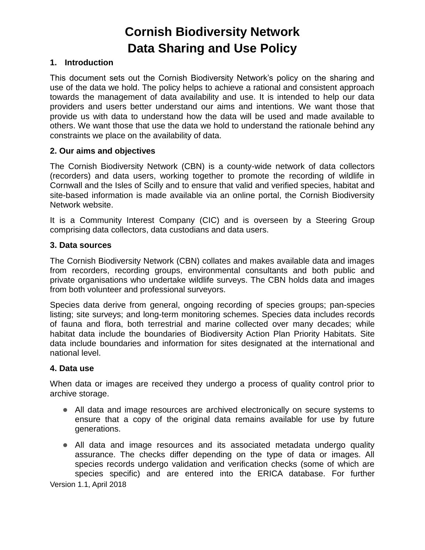# **Cornish Biodiversity Network Data Sharing and Use Policy**

## **1. Introduction**

This document sets out the Cornish Biodiversity Network's policy on the sharing and use of the data we hold. The policy helps to achieve a rational and consistent approach towards the management of data availability and use. It is intended to help our data providers and users better understand our aims and intentions. We want those that provide us with data to understand how the data will be used and made available to others. We want those that use the data we hold to understand the rationale behind any constraints we place on the availability of data.

## **2. Our aims and objectives**

The Cornish Biodiversity Network (CBN) is a county-wide network of data collectors (recorders) and data users, working together to promote the recording of wildlife in Cornwall and the Isles of Scilly and to ensure that valid and verified species, habitat and site-based information is made available via an online portal, the Cornish Biodiversity Network website.

It is a Community Interest Company (CIC) and is overseen by a Steering Group comprising data collectors, data custodians and data users.

## **3. Data sources**

The Cornish Biodiversity Network (CBN) collates and makes available data and images from recorders, recording groups, environmental consultants and both public and private organisations who undertake wildlife surveys. The CBN holds data and images from both volunteer and professional surveyors.

Species data derive from general, ongoing recording of species groups; pan-species listing; site surveys; and long-term monitoring schemes. Species data includes records of fauna and flora, both terrestrial and marine collected over many decades; while habitat data include the boundaries of Biodiversity Action Plan Priority Habitats. Site data include boundaries and information for sites designated at the international and national level.

#### **4. Data use**

When data or images are received they undergo a process of quality control prior to archive storage.

- All data and image resources are archived electronically on secure systems to ensure that a copy of the original data remains available for use by future generations.
- All data and image resources and its associated metadata undergo quality assurance. The checks differ depending on the type of data or images. All species records undergo validation and verification checks (some of which are species specific) and are entered into the ERICA database. For further

Version 1.1, April 2018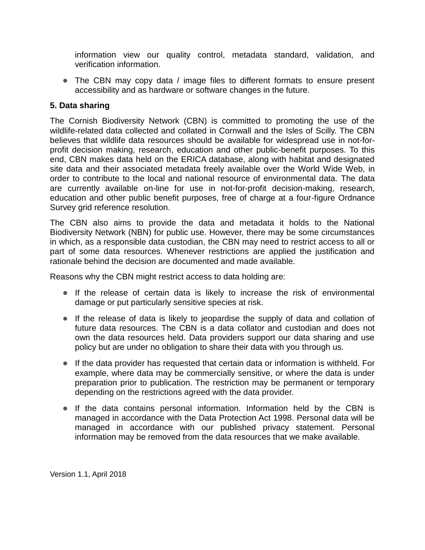information view our quality control, metadata standard, validation, and verification information.

• The CBN may copy data / image files to different formats to ensure present accessibility and as hardware or software changes in the future.

# **5. Data sharing**

The Cornish Biodiversity Network (CBN) is committed to promoting the use of the wildlife-related data collected and collated in Cornwall and the Isles of Scilly. The CBN believes that wildlife data resources should be available for widespread use in not-forprofit decision making, research, education and other public-benefit purposes. To this end, CBN makes data held on the ERICA database, along with habitat and designated site data and their associated metadata freely available over the World Wide Web, in order to contribute to the local and national resource of environmental data. The data are currently available on-line for use in not-for-profit decision-making, research, education and other public benefit purposes, free of charge at a four-figure Ordnance Survey grid reference resolution.

The CBN also aims to provide the data and metadata it holds to the National Biodiversity Network (NBN) for public use. However, there may be some circumstances in which, as a responsible data custodian, the CBN may need to restrict access to all or part of some data resources. Whenever restrictions are applied the justification and rationale behind the decision are documented and made available.

Reasons why the CBN might restrict access to data holding are:

- If the release of certain data is likely to increase the risk of environmental damage or put particularly sensitive species at risk.
- If the release of data is likely to jeopardise the supply of data and collation of future data resources. The CBN is a data collator and custodian and does not own the data resources held. Data providers support our data sharing and use policy but are under no obligation to share their data with you through us.
- If the data provider has requested that certain data or information is withheld. For example, where data may be commercially sensitive, or where the data is under preparation prior to publication. The restriction may be permanent or temporary depending on the restrictions agreed with the data provider.
- If the data contains personal information. Information held by the CBN is managed in accordance with the Data Protection Act 1998. Personal data will be managed in accordance with our published privacy statement. Personal information may be removed from the data resources that we make available.

Version 1.1, April 2018